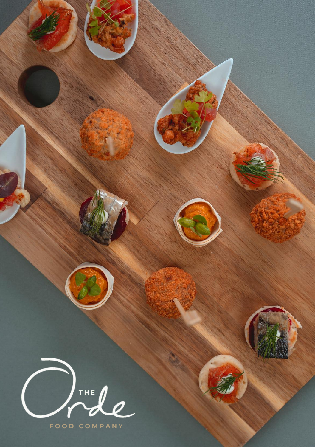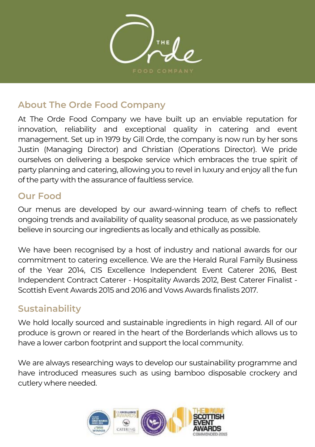

# **About The Orde Food Company**

At The Orde Food Company we have built up an enviable reputation for innovation, reliability and exceptional quality in catering and event management. Set up in 1979 by Gill Orde, the company is now run by her sons Justin (Managing Director) and Christian (Operations Director). We pride ourselves on delivering a bespoke service which embraces the true spirit of party planning and catering, allowing you to revel in luxury and enjoy all the fun of the party with the assurance of faultless service.

## **Our Food**

Our menus are developed by our award-winning team of chefs to reflect ongoing trends and availability of quality seasonal produce, as we passionately believe in sourcing our ingredients as locally and ethically as possible.

We have been recognised by a host of industry and national awards for our commitment to catering excellence. We are the Herald Rural Family Business of the Year 2014, CIS Excellence Independent Event Caterer 2016, Best Independent Contract Caterer - Hospitality Awards 2012, Best Caterer Finalist - Scottish Event Awards 2015 and 2016 and Vows Awards finalists 2017.

# **Sustainability**

We hold locally sourced and sustainable ingredients in high regard. All of our produce is grown or reared in the heart of the Borderlands which allows us to have a lower carbon footprint and support the local community.

We are always researching ways to develop our sustainability programme and have introduced measures such as using bamboo disposable crockery and cutlery where needed.

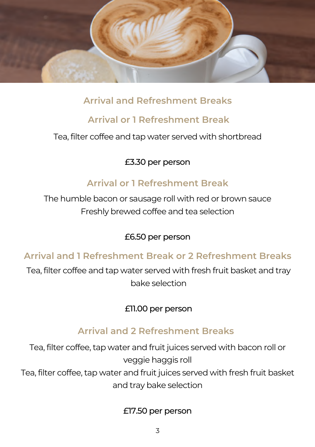

# **Arrival and Refreshment Breaks**

## **Arrival or 1 Refreshment Break**

Tea, filter coffee and tap water served with shortbread

£3.30 per person

# **Arrival or 1 Refreshment Break**

The humble bacon or sausage roll with red or brown sauce Freshly brewed coffee and tea selection

### £6.50 per person

# **Arrival and 1 Refreshment Break or 2 Refreshment Breaks**

Tea, filter coffee and tap water served with fresh fruit basket and tray bake selection

### £11.00 per person

# **Arrival and 2 Refreshment Breaks**

Tea, filter coffee, tap water and fruit juices served with bacon roll or veggie haggis roll Tea, filter coffee, tap water and fruit juices served with fresh fruit basket and tray bake selection

### £17.50 per person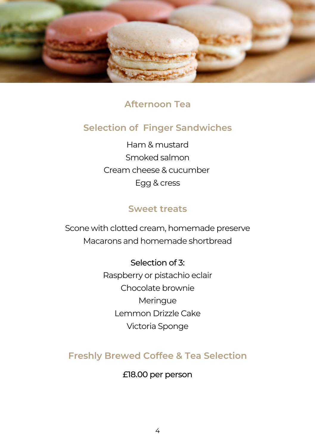

### **Afternoon Tea**

## **Selection of Finger Sandwiches**

Ham & mustard Smoked salmon Cream cheese & cucumber Egg & cress

### **Sweet treats**

Scone with clotted cream, homemade preserve Macarons and homemade shortbread

#### Selection of 3:

Raspberry or pistachio eclair Chocolate brownie **Meringue** Lemmon Drizzle Cake Victoria Sponge

### **Freshly Brewed Coffee & Tea Selection**

#### £18.00 per person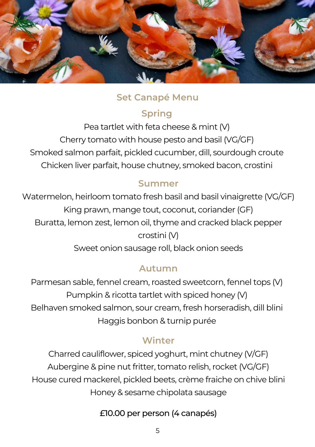

## **Set Canapé Menu**

# **Spring**

Pea tartlet with feta cheese & mint (V) Cherry tomato with house pesto and basil (VG/GF) Smoked salmon parfait, pickled cucumber, dill, sourdough croute Chicken liver parfait, house chutney, smoked bacon, crostini

## **Summer**

Watermelon, heirloom tomato fresh basil and basil vinaigrette (VG/GF) King prawn, mange tout, coconut, coriander (GF) Buratta, lemon zest, lemon oil, thyme and cracked black pepper crostini (V) Sweet onion sausage roll, black onion seeds

## **Autumn**

Parmesan sable, fennel cream, roasted sweetcorn, fennel tops (V) Pumpkin & ricotta tartlet with spiced honey (V) Belhaven smoked salmon, sour cream, fresh horseradish, dill blini Haggis bonbon & turnip purée

# **Winter**

Charred cauliflower, spiced yoghurt, mint chutney (V/GF) Aubergine & pine nut fritter, tomato relish, rocket (VG/GF) House cured mackerel, pickled beets, crème fraiche on chive blini Honey & sesame chipolata sausage

£10.00 per person (4 canapés)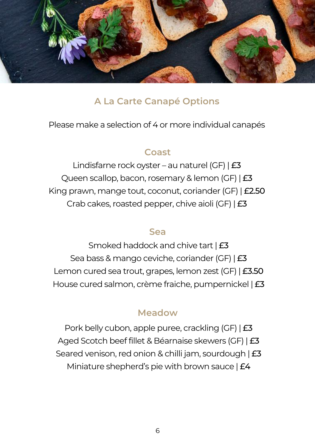

### **A La Carte Canapé Options**

Please make a selection of 4 or more individual canapés

#### **Coast**

Lindisfarne rock oyster – au naturel (GF) | £3 Queen scallop, bacon, rosemary & lemon (GF) | £3 King prawn, mange tout, coconut, coriander (GF) | £2.50 Crab cakes, roasted pepper, chive aioli (GF) | £3

#### **Sea**

Smoked haddock and chive tart | £3 Sea bass & mango ceviche, coriander (GF) | £3 Lemon cured sea trout, grapes, lemon zest (GF) | £3.50 House cured salmon, crème fraiche, pumpernickel | £3

### **Meadow**

Pork belly cubon, apple puree, crackling (GF) | £3 Aged Scotch beef fillet & Béarnaise skewers (GF) | £3 Seared venison, red onion & chilli jam, sourdough | £3 Miniature shepherd's pie with brown sauce | £4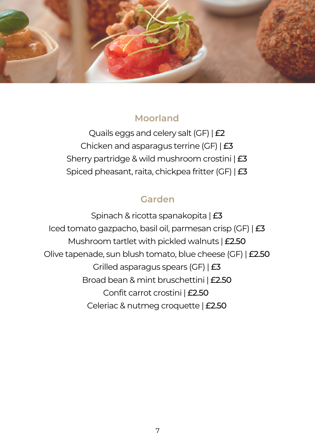

#### **Moorland**

Quails eggs and celery salt (GF) | £2 Chicken and asparagus terrine (GF) | £3 Sherry partridge & wild mushroom crostini | £3 Spiced pheasant, raita, chickpea fritter (GF) | £3

### **Garden**

Spinach & ricotta spanakopita | £3 Iced tomato gazpacho, basil oil, parmesan crisp (GF) | £3 Mushroom tartlet with pickled walnuts | £2.50 Olive tapenade, sun blush tomato, blue cheese (GF) | £2.50 Grilled asparagus spears (GF) | £3 Broad bean & mint bruschettini | £2.50 Confit carrot crostini | £2.50 Celeriac & nutmeg croquette | £2.50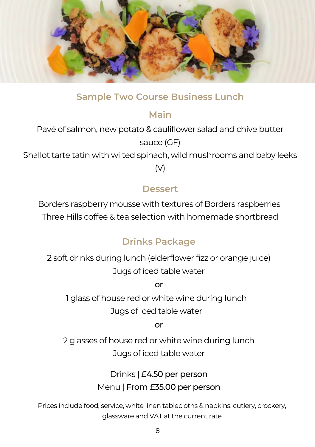

### **Sample Two Course Business Lunch**

### **Main**

Pavé of salmon, new potato & cauliflower salad and chive butter sauce (GF) Shallot tarte tatin with wilted spinach, wild mushrooms and baby leeks

 $(V)$ 

## **Dessert**

Borders raspberry mousse with textures of Borders raspberries Three Hills coffee & tea selection with homemade shortbread

# **Drinks Package**

2 soft drinks during lunch (elderflower fizz or orange juice) Jugs of iced table water

or

1 glass of house red or white wine during lunch Jugs of iced table water

or

2 glasses of house red or white wine during lunch Jugs of iced table water

# Drinks | £4.50 per person Menu |From £35.00 per person

Prices include food, service, white linen tablecloths & napkins, cutlery, crockery, glassware and VAT at the current rate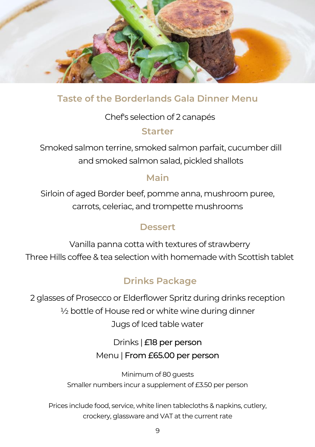

## **Taste of the Borderlands Gala Dinner Menu**

### Chef's selection of 2 canapés

### **Starter**

Smoked salmon terrine, smoked salmon parfait, cucumber dill and smoked salmon salad, pickled shallots

## **Main**

Sirloin of aged Border beef, pomme anna, mushroom puree, carrots, celeriac, and trompette mushrooms

## **Dessert**

Vanilla panna cotta with textures of strawberry Three Hills coffee & tea selection with homemade with Scottish tablet

# **Drinks Package**

2 glasses of Prosecco or Elderflower Spritz during drinks reception ½ bottle of House red or white wine during dinner Jugs of Iced table water

# Drinks | £18 per person Menu | From £65.00 per person

Minimum of 80 quests Smaller numbers incur a supplement of £3.50 per person

Prices include food, service, white linen tablecloths & napkins, cutlery, crockery, glassware and VAT at the current rate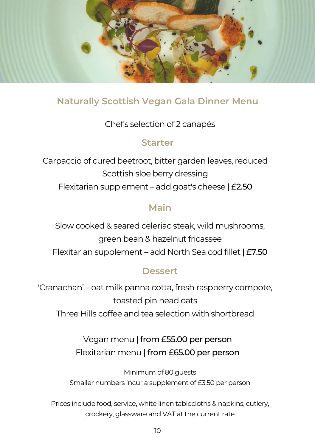

## **Naturally Scottish Vegan Gala Dinner Menu**

### Chef's selection of 2 canapés

### **Starter**

Carpaccio of cured beetroot, bitter garden leaves, reduced Scottish sloe berry dressing Flexitarian supplement – add goat's cheese |£2.50

### **Main**

Slow cooked & seared celeriac steak, wild mushrooms, green bean & hazelnut fricassee Flexitarian supplement – add North Sea cod fillet | £7.50

### **Dessert**

'Cranachan' – oat milk panna cotta, fresh raspberry compote, toasted pin head oats Three Hills coffee and tea selection with shortbread

> Vegan menu | from £55.00 per person Flexitarian menu | from £65.00 per person

Minimum of 80 quests Smaller numbers incur a supplement of £3.50 per person

Prices include food, service, white linen tablecloths & napkins, cutlery, crockery, glassware and VAT at the current rate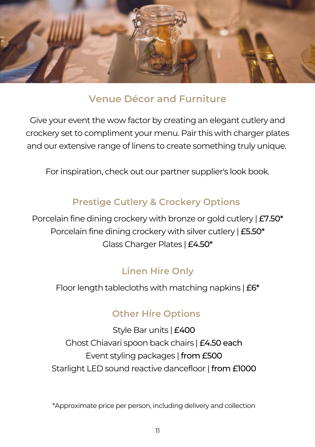

## **Venue Décor and Furniture**

Give your event the wow factor by creating an elegant cutlery and crockery set to compliment your menu. Pair this with charger plates and our extensive range of linens to create something truly unique.

For inspiration, check out our partner supplier's look book.

## **Prestige Cutlery & Crockery Options**

Porcelain fine dining crockery with bronze or gold cutlery | £7.50\* Porcelain fine dining crockery with silver cutlery | £5.50\* Glass Charger Plates | £4.50\*

## **Linen Hire Only**

Floor length tablecloths with matching napkins |  $E6*$ 

## **Other Hire Options**

Style Bar units | £400 Ghost Chiavari spoon back chairs | £4.50 each Event styling packages | from £500 Starlight LED sound reactive dancefloor | from £1000

\*Approximate price per person, including delivery and collection